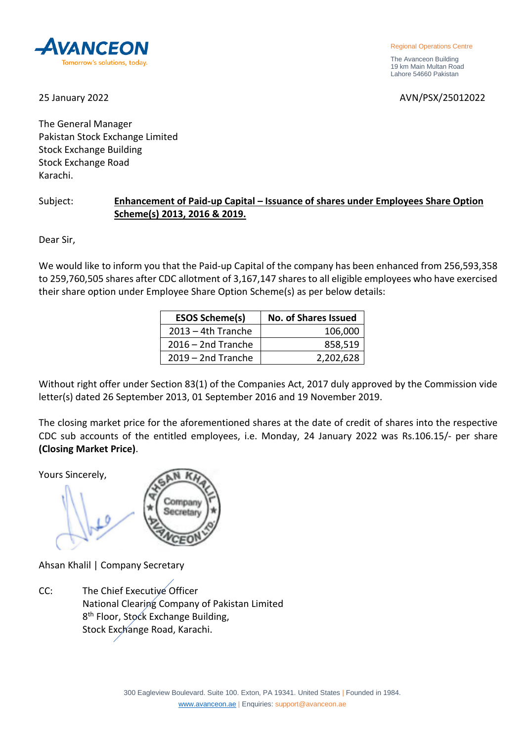**AVANCE** Tomorrow's solutions, today

Regional Operations Centre

 The Avanceon Building 19 km Main Multan Road Lahore 54660 Pakistan

25 January 2022 AVN/PSX/25012022

The General Manager Pakistan Stock Exchange Limited Stock Exchange Building Stock Exchange Road Karachi.

## Subject: **Enhancement of Paid-up Capital – Issuance of shares under Employees Share Option Scheme(s) 2013, 2016 & 2019.**

Dear Sir,

We would like to inform you that the Paid-up Capital of the company has been enhanced from 256,593,358 to 259,760,505 shares after CDC allotment of 3,167,147 shares to all eligible employees who have exercised their share option under Employee Share Option Scheme(s) as per below details:

| <b>ESOS Scheme(s)</b> | <b>No. of Shares Issued</b> |
|-----------------------|-----------------------------|
| $2013 - 4th$ Tranche  | 106,000                     |
| $2016 - 2nd$ Tranche  | 858,519                     |
| $2019 - 2nd$ Tranche  | 2,202,628                   |

Without right offer under Section 83(1) of the Companies Act, 2017 duly approved by the Commission vide letter(s) dated 26 September 2013, 01 September 2016 and 19 November 2019.

The closing market price for the aforementioned shares at the date of credit of shares into the respective CDC sub accounts of the entitled employees, i.e. Monday, 24 January 2022 was Rs.106.15/- per share **(Closing Market Price)**.

Yours Sincerely,



Ahsan Khalil | Company Secretary

CC: The Chief Executive Officer National Clearing Company of Pakistan Limited 8<sup>th</sup> Floor, Stock Exchange Building, Stock Exchange Road, Karachi.